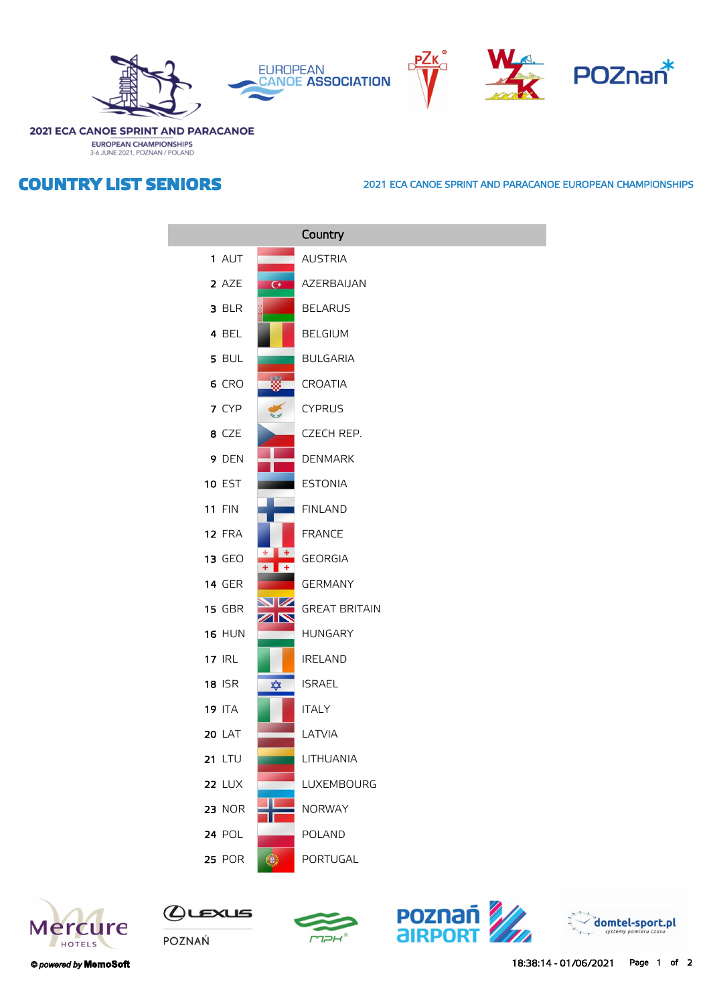







2021 ECA CANOE SPRINT AND PARACANOE **EUROPEAN CHAMPIONSHIPS**<br>3-6 JUNE 2021, POZNAN / POLAND

## **COUNTRY LIST SENIORS**

## **2021 ECA CANOE SPRINT AND PARACANOE EUROPEAN CHAMPIONSHIPS**

|               |                         | Country              |
|---------------|-------------------------|----------------------|
| 1 AUT         |                         | <b>AUSTRIA</b>       |
| 2 AZE         | $\overline{C}$          | AZERBAIJAN           |
| 3 BLR         |                         | <b>BELARUS</b>       |
| 4 BEL         |                         | <b>BELGIUM</b>       |
| 5 BUL         |                         | <b>BULGARIA</b>      |
| 6 CRO         |                         | CROATIA              |
| 7 CYP         |                         | <b>CYPRUS</b>        |
| 8 CZE         |                         | CZECH REP.           |
| 9 DEN         |                         | <b>DENMARK</b>       |
| <b>10 EST</b> |                         | <b>ESTONIA</b>       |
| <b>11 FIN</b> |                         | <b>FINLAND</b>       |
| <b>12 FRA</b> |                         | <b>FRANCE</b>        |
| <b>13 GEO</b> |                         | <b>GEORGIA</b>       |
| <b>14 GER</b> |                         | <b>GERMANY</b>       |
| <b>15 GBR</b> |                         | <b>GREAT BRITAIN</b> |
| <b>16 HUN</b> |                         | <b>HUNGARY</b>       |
| <b>17 IRL</b> |                         | <b>IRELAND</b>       |
| <b>18 ISR</b> | $\overline{\mathbf{r}}$ | <b>ISRAEL</b>        |
| <b>19 ITA</b> |                         | <b>ITALY</b>         |
| <b>20 LAT</b> |                         | LATVIA               |
| <b>21 LTU</b> |                         | LITHUANIA            |
| <b>22 LUX</b> |                         | LUXEMBOURG           |
| <b>23 NOR</b> |                         | <b>NORWAY</b>        |
| <b>24 POL</b> |                         | <b>POLAND</b>        |
| <b>25 POR</b> | $\circledast$           | PORTUGAL             |



 $Q$ ustus POZNAŃ